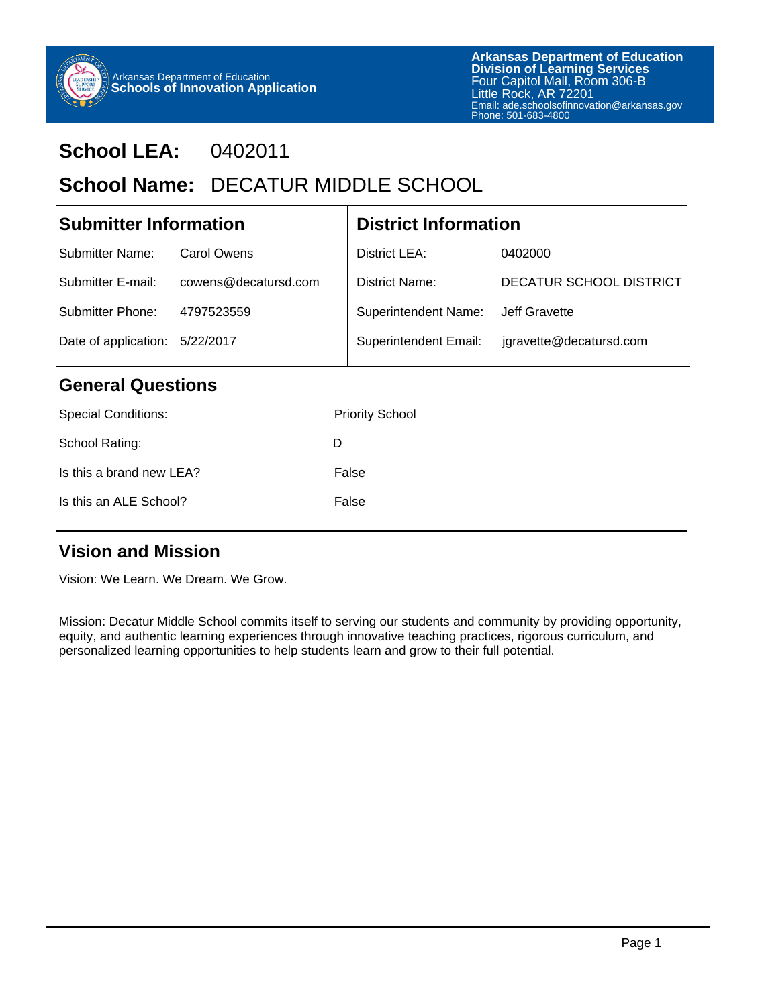

#### **School LEA:** 0402011

### School Name: DECATUR MIDDLE SCHOOL

| <b>Submitter Information</b> |                      |   | <b>District Information</b>  |                         |  |
|------------------------------|----------------------|---|------------------------------|-------------------------|--|
| Submitter Name:              | Carol Owens          |   | District LEA:                | 0402000                 |  |
| Submitter E-mail:            | cowens@decatursd.com |   | District Name:               | DECATUR SCHOOL DISTRICT |  |
| Submitter Phone:             | 4797523559           |   | <b>Superintendent Name:</b>  | Jeff Gravette           |  |
| Date of application:         | 5/22/2017            |   | <b>Superintendent Email:</b> | jgravette@decatursd.com |  |
| <b>General Questions</b>     |                      |   |                              |                         |  |
| <b>Special Conditions:</b>   |                      |   | <b>Priority School</b>       |                         |  |
| School Rating:               |                      | D |                              |                         |  |
| Is this a brand new LEA?     |                      |   | False                        |                         |  |

#### **Vision and Mission**

Vision: We Learn. We Dream. We Grow.

Is this an ALE School? False

Mission: Decatur Middle School commits itself to serving our students and community by providing opportunity, equity, and authentic learning experiences through innovative teaching practices, rigorous curriculum, and personalized learning opportunities to help students learn and grow to their full potential.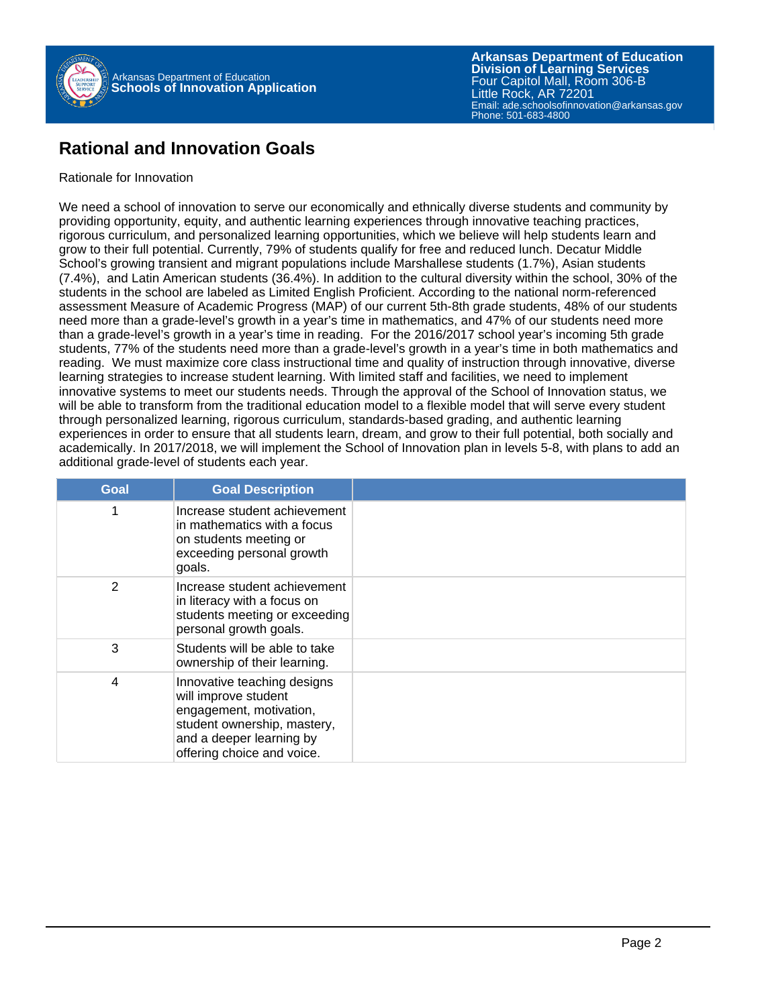

#### **Rational and Innovation Goals**

#### Rationale for Innovation

We need a school of innovation to serve our economically and ethnically diverse students and community by providing opportunity, equity, and authentic learning experiences through innovative teaching practices, rigorous curriculum, and personalized learning opportunities, which we believe will help students learn and grow to their full potential. Currently, 79% of students qualify for free and reduced lunch. Decatur Middle School's growing transient and migrant populations include Marshallese students (1.7%), Asian students (7.4%), and Latin American students (36.4%). In addition to the cultural diversity within the school, 30% of the students in the school are labeled as Limited English Proficient. According to the national norm-referenced assessment Measure of Academic Progress (MAP) of our current 5th-8th grade students, 48% of our students need more than a grade-level's growth in a year's time in mathematics, and 47% of our students need more than a grade-level's growth in a year's time in reading. For the 2016/2017 school year's incoming 5th grade students, 77% of the students need more than a grade-level's growth in a year's time in both mathematics and reading. We must maximize core class instructional time and quality of instruction through innovative, diverse learning strategies to increase student learning. With limited staff and facilities, we need to implement innovative systems to meet our students needs. Through the approval of the School of Innovation status, we will be able to transform from the traditional education model to a flexible model that will serve every student through personalized learning, rigorous curriculum, standards-based grading, and authentic learning experiences in order to ensure that all students learn, dream, and grow to their full potential, both socially and academically. In 2017/2018, we will implement the School of Innovation plan in levels 5-8, with plans to add an additional grade-level of students each year.

| Goal           | <b>Goal Description</b>                                                                                                                                                 |  |
|----------------|-------------------------------------------------------------------------------------------------------------------------------------------------------------------------|--|
| 1              | Increase student achievement<br>in mathematics with a focus<br>on students meeting or<br>exceeding personal growth<br>goals.                                            |  |
| 2              | Increase student achievement<br>in literacy with a focus on<br>students meeting or exceeding<br>personal growth goals.                                                  |  |
| 3              | Students will be able to take<br>ownership of their learning.                                                                                                           |  |
| $\overline{4}$ | Innovative teaching designs<br>will improve student<br>engagement, motivation,<br>student ownership, mastery,<br>and a deeper learning by<br>offering choice and voice. |  |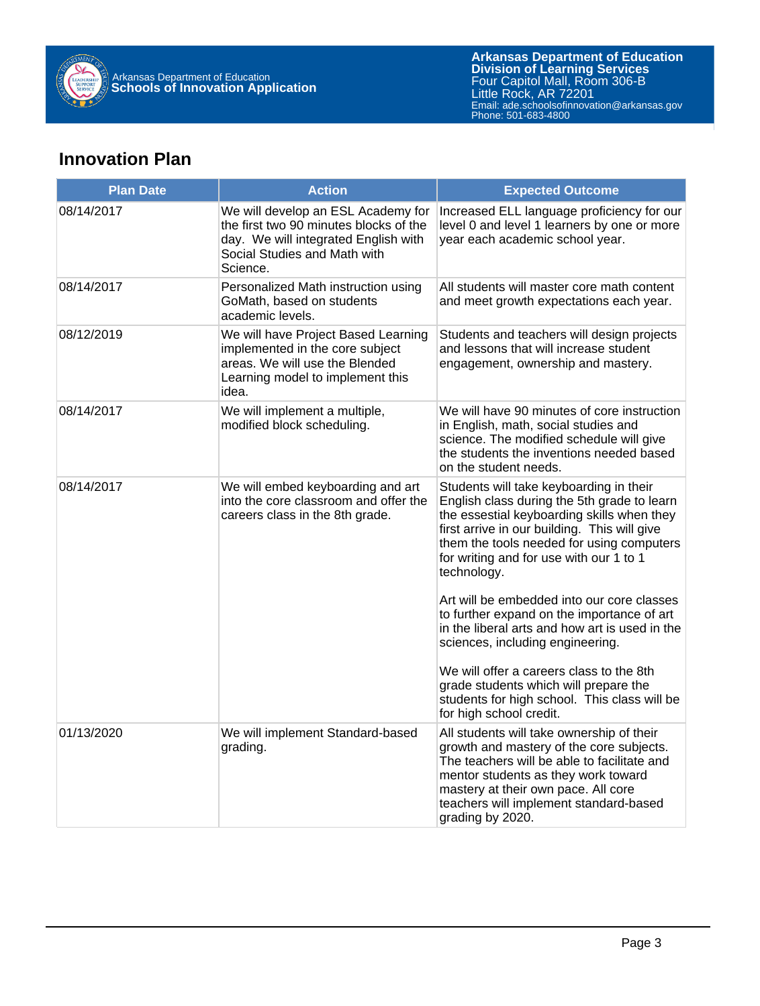

#### **Innovation Plan**

| <b>Plan Date</b> | <b>Action</b>                                                                                                                                                    | <b>Expected Outcome</b>                                                                                                                                                                                                                                                                     |  |  |
|------------------|------------------------------------------------------------------------------------------------------------------------------------------------------------------|---------------------------------------------------------------------------------------------------------------------------------------------------------------------------------------------------------------------------------------------------------------------------------------------|--|--|
| 08/14/2017       | We will develop an ESL Academy for<br>the first two 90 minutes blocks of the<br>day. We will integrated English with<br>Social Studies and Math with<br>Science. | Increased ELL language proficiency for our<br>level 0 and level 1 learners by one or more<br>year each academic school year.                                                                                                                                                                |  |  |
| 08/14/2017       | Personalized Math instruction using<br>GoMath, based on students<br>academic levels.                                                                             | All students will master core math content<br>and meet growth expectations each year.                                                                                                                                                                                                       |  |  |
| 08/12/2019       | We will have Project Based Learning<br>implemented in the core subject<br>areas. We will use the Blended<br>Learning model to implement this<br>idea.            | Students and teachers will design projects<br>and lessons that will increase student<br>engagement, ownership and mastery.                                                                                                                                                                  |  |  |
| 08/14/2017       | We will implement a multiple,<br>modified block scheduling.                                                                                                      | We will have 90 minutes of core instruction<br>in English, math, social studies and<br>science. The modified schedule will give<br>the students the inventions needed based<br>on the student needs.                                                                                        |  |  |
| 08/14/2017       | We will embed keyboarding and art<br>into the core classroom and offer the<br>careers class in the 8th grade.                                                    | Students will take keyboarding in their<br>English class during the 5th grade to learn<br>the essestial keyboarding skills when they<br>first arrive in our building. This will give<br>them the tools needed for using computers<br>for writing and for use with our 1 to 1<br>technology. |  |  |
|                  |                                                                                                                                                                  | Art will be embedded into our core classes<br>to further expand on the importance of art<br>in the liberal arts and how art is used in the<br>sciences, including engineering.                                                                                                              |  |  |
|                  |                                                                                                                                                                  | We will offer a careers class to the 8th<br>grade students which will prepare the<br>students for high school. This class will be<br>for high school credit.                                                                                                                                |  |  |
| 01/13/2020       | We will implement Standard-based<br>grading.                                                                                                                     | All students will take ownership of their<br>growth and mastery of the core subjects.<br>The teachers will be able to facilitate and<br>mentor students as they work toward<br>mastery at their own pace. All core<br>teachers will implement standard-based<br>grading by 2020.            |  |  |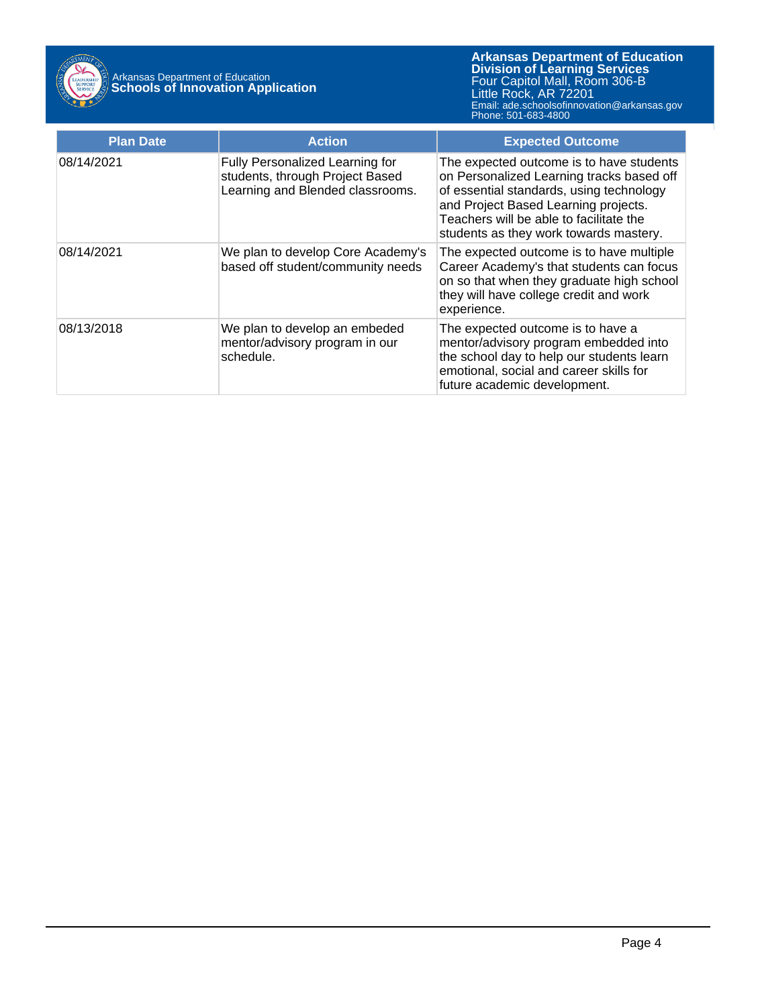

| <b>Plan Date</b> | <b>Action</b>                                                                                          | <b>Expected Outcome</b>                                                                                                                                                                                                                                        |
|------------------|--------------------------------------------------------------------------------------------------------|----------------------------------------------------------------------------------------------------------------------------------------------------------------------------------------------------------------------------------------------------------------|
| 08/14/2021       | Fully Personalized Learning for<br>students, through Project Based<br>Learning and Blended classrooms. | The expected outcome is to have students<br>on Personalized Learning tracks based off<br>of essential standards, using technology<br>and Project Based Learning projects.<br>Teachers will be able to facilitate the<br>students as they work towards mastery. |
| 08/14/2021       | We plan to develop Core Academy's<br>based off student/community needs                                 | The expected outcome is to have multiple<br>Career Academy's that students can focus<br>on so that when they graduate high school<br>they will have college credit and work<br>experience.                                                                     |
| 08/13/2018       | We plan to develop an embeded<br>mentor/advisory program in our<br>schedule.                           | The expected outcome is to have a<br>mentor/advisory program embedded into<br>the school day to help our students learn<br>emotional, social and career skills for<br>future academic development.                                                             |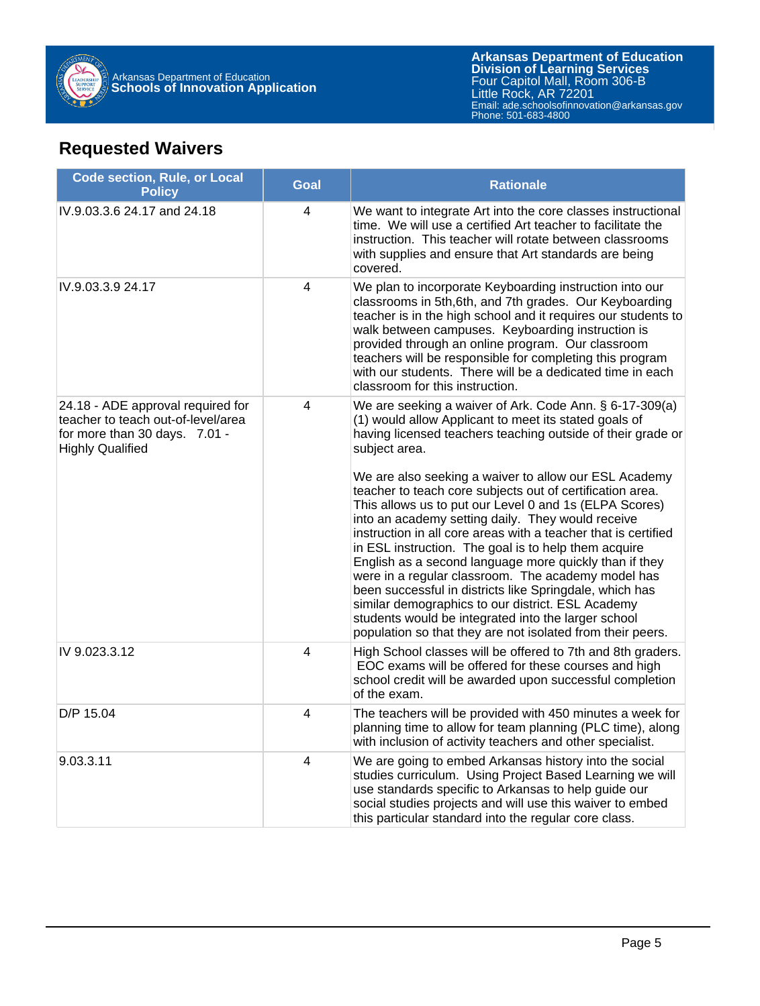

#### **Requested Waivers**

| <b>Code section, Rule, or Local</b><br><b>Policy</b>                                                                                | <b>Goal</b>             | <b>Rationale</b>                                                                                                                                                                                                                                                                                                                                                                                                                                                                                                                                                                                                                                        |
|-------------------------------------------------------------------------------------------------------------------------------------|-------------------------|---------------------------------------------------------------------------------------------------------------------------------------------------------------------------------------------------------------------------------------------------------------------------------------------------------------------------------------------------------------------------------------------------------------------------------------------------------------------------------------------------------------------------------------------------------------------------------------------------------------------------------------------------------|
| IV.9.03.3.6 24.17 and 24.18                                                                                                         | 4                       | We want to integrate Art into the core classes instructional<br>time. We will use a certified Art teacher to facilitate the<br>instruction. This teacher will rotate between classrooms<br>with supplies and ensure that Art standards are being<br>covered.                                                                                                                                                                                                                                                                                                                                                                                            |
| IV.9.03.3.9 24.17                                                                                                                   | 4                       | We plan to incorporate Keyboarding instruction into our<br>classrooms in 5th, 6th, and 7th grades. Our Keyboarding<br>teacher is in the high school and it requires our students to<br>walk between campuses. Keyboarding instruction is<br>provided through an online program. Our classroom<br>teachers will be responsible for completing this program<br>with our students. There will be a dedicated time in each<br>classroom for this instruction.                                                                                                                                                                                               |
| 24.18 - ADE approval required for<br>teacher to teach out-of-level/area<br>for more than 30 days. 7.01 -<br><b>Highly Qualified</b> | $\overline{\mathbf{4}}$ | We are seeking a waiver of Ark. Code Ann. § 6-17-309(a)<br>(1) would allow Applicant to meet its stated goals of<br>having licensed teachers teaching outside of their grade or<br>subject area.<br>We are also seeking a waiver to allow our ESL Academy                                                                                                                                                                                                                                                                                                                                                                                               |
|                                                                                                                                     |                         | teacher to teach core subjects out of certification area.<br>This allows us to put our Level 0 and 1s (ELPA Scores)<br>into an academy setting daily. They would receive<br>instruction in all core areas with a teacher that is certified<br>in ESL instruction. The goal is to help them acquire<br>English as a second language more quickly than if they<br>were in a regular classroom. The academy model has<br>been successful in districts like Springdale, which has<br>similar demographics to our district. ESL Academy<br>students would be integrated into the larger school<br>population so that they are not isolated from their peers. |
| IV 9.023.3.12                                                                                                                       | 4                       | High School classes will be offered to 7th and 8th graders.<br>EOC exams will be offered for these courses and high<br>school credit will be awarded upon successful completion<br>of the exam.                                                                                                                                                                                                                                                                                                                                                                                                                                                         |
| D/P 15.04                                                                                                                           | 4                       | The teachers will be provided with 450 minutes a week for<br>planning time to allow for team planning (PLC time), along<br>with inclusion of activity teachers and other specialist.                                                                                                                                                                                                                                                                                                                                                                                                                                                                    |
| 9.03.3.11                                                                                                                           | 4                       | We are going to embed Arkansas history into the social<br>studies curriculum. Using Project Based Learning we will<br>use standards specific to Arkansas to help guide our<br>social studies projects and will use this waiver to embed<br>this particular standard into the regular core class.                                                                                                                                                                                                                                                                                                                                                        |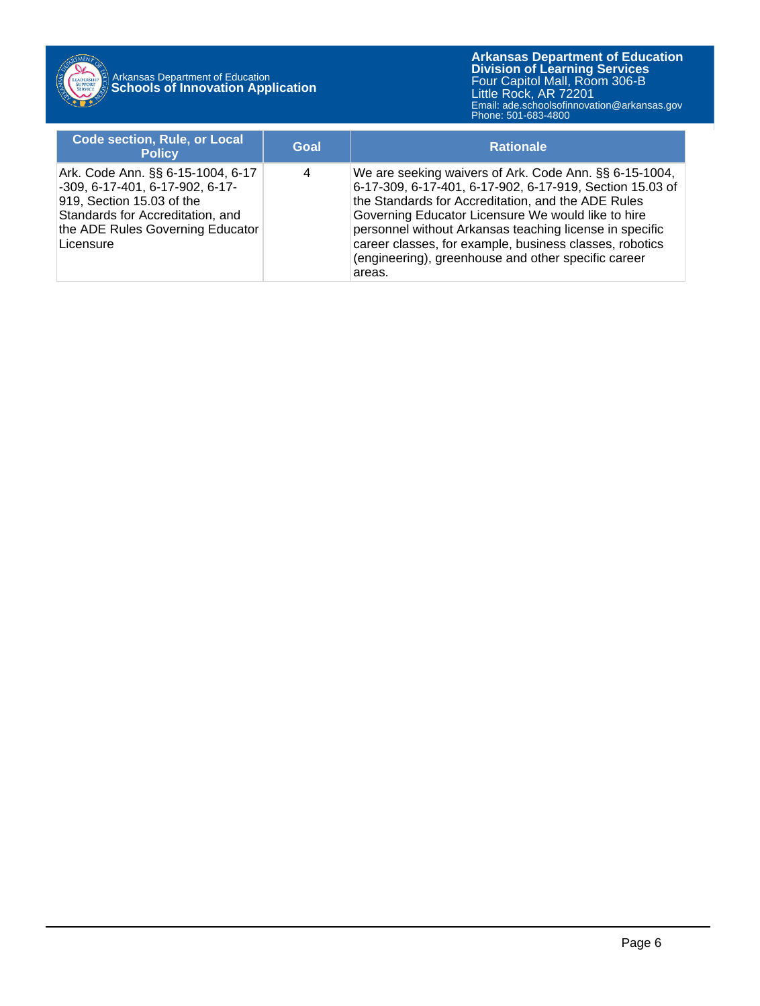

### Arkansas Department of Education **Schools of Innovation Application**

| <b>Code section, Rule, or Local</b><br><b>Policy</b>                                                                                                                                   | Goal | <b>Rationale</b>                                                                                                                                                                                                                                                                                                                                                                                                      |
|----------------------------------------------------------------------------------------------------------------------------------------------------------------------------------------|------|-----------------------------------------------------------------------------------------------------------------------------------------------------------------------------------------------------------------------------------------------------------------------------------------------------------------------------------------------------------------------------------------------------------------------|
| Ark. Code Ann. §§ 6-15-1004, 6-17<br>-309, 6-17-401, 6-17-902, 6-17-<br>919, Section 15.03 of the<br>Standards for Accreditation, and<br>the ADE Rules Governing Educator<br>Licensure | 4    | We are seeking waivers of Ark. Code Ann. §§ 6-15-1004,<br>6-17-309, 6-17-401, 6-17-902, 6-17-919, Section 15.03 of<br>the Standards for Accreditation, and the ADE Rules<br>Governing Educator Licensure We would like to hire<br>personnel without Arkansas teaching license in specific<br>career classes, for example, business classes, robotics<br>(engineering), greenhouse and other specific career<br>areas. |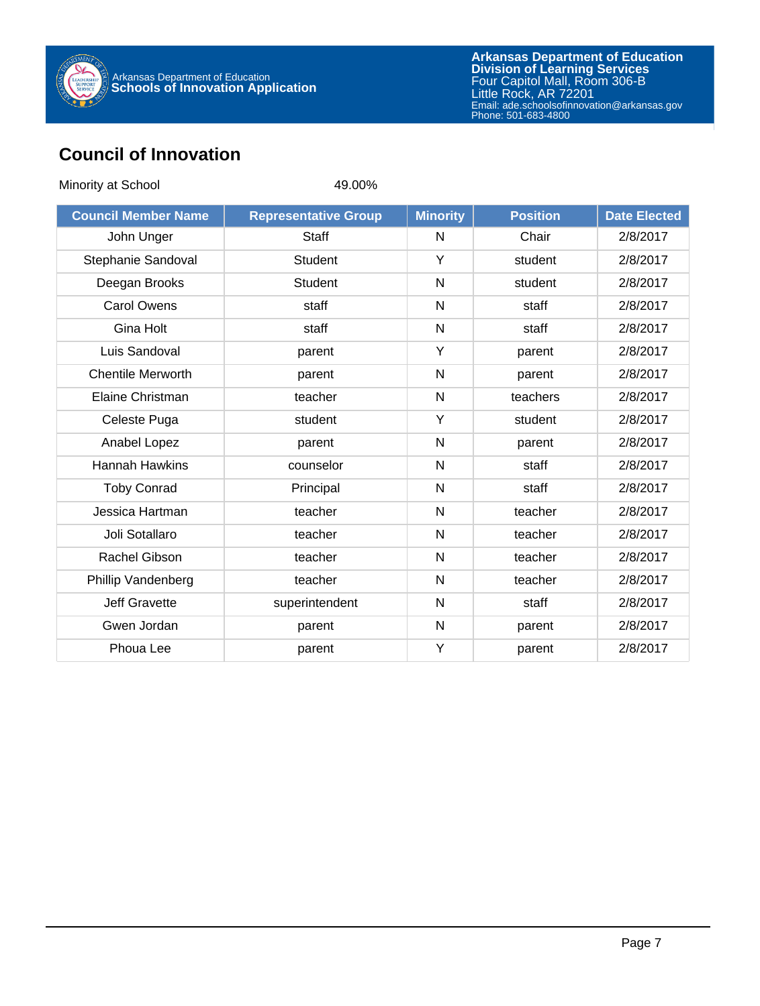

#### **Council of Innovation**

| Minority at School         | 49.00%                      |                 |                 |                     |
|----------------------------|-----------------------------|-----------------|-----------------|---------------------|
| <b>Council Member Name</b> | <b>Representative Group</b> | <b>Minority</b> | <b>Position</b> | <b>Date Elected</b> |
| John Unger                 | Staff                       | N               | Chair           | 2/8/2017            |
| Stephanie Sandoval         | <b>Student</b>              | Y               | student         | 2/8/2017            |
| Deegan Brooks              | <b>Student</b>              | $\mathsf{N}$    | student         | 2/8/2017            |
| <b>Carol Owens</b>         | staff                       | N               | staff           | 2/8/2017            |
| Gina Holt                  | staff                       | $\mathsf{N}$    | staff           | 2/8/2017            |
| Luis Sandoval              | parent                      | Y               | parent          | 2/8/2017            |
| <b>Chentile Merworth</b>   | parent                      | N               | parent          | 2/8/2017            |
| Elaine Christman           | teacher                     | N               | teachers        | 2/8/2017            |
| Celeste Puga               | student                     | Y               | student         | 2/8/2017            |
| Anabel Lopez               | parent                      | $\mathsf{N}$    | parent          | 2/8/2017            |
| <b>Hannah Hawkins</b>      | counselor                   | N               | staff           | 2/8/2017            |
| <b>Toby Conrad</b>         | Principal                   | $\mathsf{N}$    | staff           | 2/8/2017            |
| Jessica Hartman            | teacher                     | N               | teacher         | 2/8/2017            |
| Joli Sotallaro             | teacher                     | $\mathsf{N}$    | teacher         | 2/8/2017            |
| <b>Rachel Gibson</b>       | teacher                     | N               | teacher         | 2/8/2017            |
| Phillip Vandenberg         | teacher                     | N               | teacher         | 2/8/2017            |
| <b>Jeff Gravette</b>       | superintendent              | N               | staff           | 2/8/2017            |
| Gwen Jordan                | parent                      | N               | parent          | 2/8/2017            |
| Phoua Lee                  | parent                      | Y               | parent          | 2/8/2017            |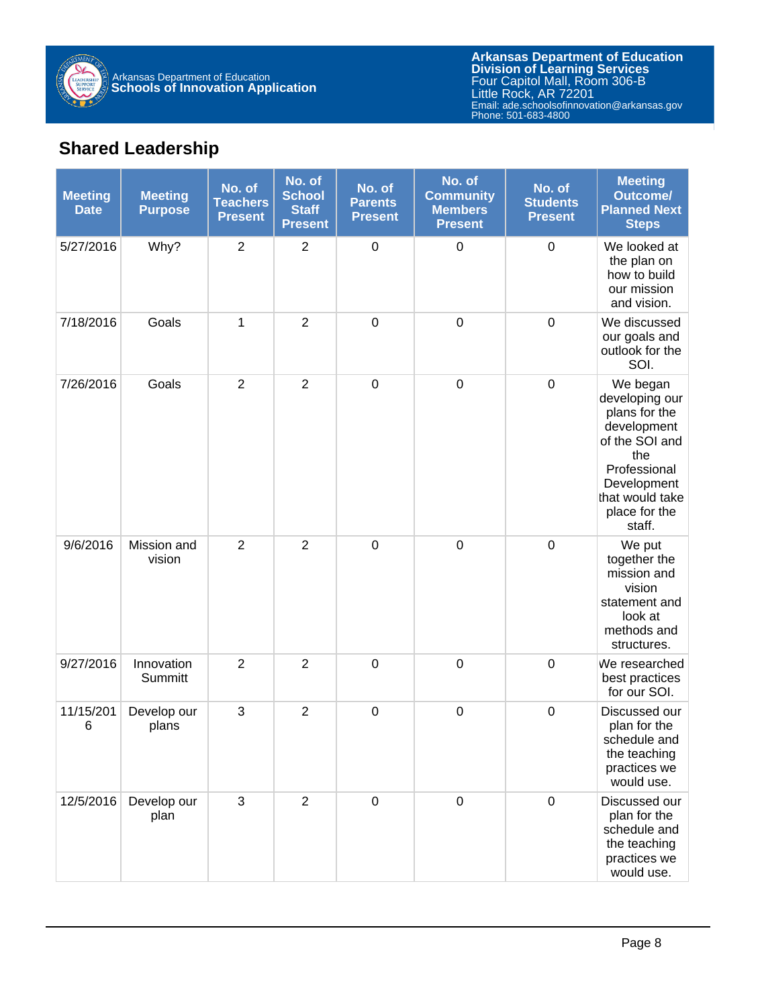

#### **Shared Leadership**

| <b>Meeting</b><br><b>Date</b> | <b>Meeting</b><br><b>Purpose</b> | No. of<br><b>Teachers</b><br><b>Present</b> | No. of<br><b>School</b><br><b>Staff</b><br><b>Present</b> | No. of<br><b>Parents</b><br><b>Present</b> | No. of<br><b>Community</b><br><b>Members</b><br><b>Present</b> | No. of<br><b>Students</b><br><b>Present</b> | <b>Meeting</b><br><b>Outcome/</b><br><b>Planned Next</b><br><b>Steps</b>                                                                                         |
|-------------------------------|----------------------------------|---------------------------------------------|-----------------------------------------------------------|--------------------------------------------|----------------------------------------------------------------|---------------------------------------------|------------------------------------------------------------------------------------------------------------------------------------------------------------------|
| 5/27/2016                     | Why?                             | $\overline{2}$                              | $\overline{2}$                                            | $\pmb{0}$                                  | $\pmb{0}$                                                      | $\boldsymbol{0}$                            | We looked at<br>the plan on<br>how to build<br>our mission<br>and vision.                                                                                        |
| 7/18/2016                     | Goals                            | 1                                           | $\overline{2}$                                            | $\pmb{0}$                                  | $\pmb{0}$                                                      | $\boldsymbol{0}$                            | We discussed<br>our goals and<br>outlook for the<br>SOI.                                                                                                         |
| 7/26/2016                     | Goals                            | $\overline{2}$                              | $\overline{2}$                                            | $\mathsf 0$                                | $\pmb{0}$                                                      | $\boldsymbol{0}$                            | We began<br>developing our<br>plans for the<br>development<br>of the SOI and<br>the<br>Professional<br>Development<br>that would take<br>place for the<br>staff. |
| 9/6/2016                      | Mission and<br>vision            | $\overline{2}$                              | $\overline{2}$                                            | $\boldsymbol{0}$                           | $\pmb{0}$                                                      | $\mathbf 0$                                 | We put<br>together the<br>mission and<br>vision<br>statement and<br>look at<br>methods and<br>structures.                                                        |
| 9/27/2016                     | Innovation<br>Summitt            | $\overline{2}$                              | $\overline{2}$                                            | $\mathbf 0$                                | $\pmb{0}$                                                      | $\mathbf 0$                                 | We researched<br>best practices<br>for our SOI.                                                                                                                  |
| 11/15/201<br>6                | Develop our<br>plans             | 3                                           | $\overline{2}$                                            | $\boldsymbol{0}$                           | $\pmb{0}$                                                      | $\mathbf 0$                                 | Discussed our<br>plan for the<br>schedule and<br>the teaching<br>practices we<br>would use.                                                                      |
| 12/5/2016                     | Develop our<br>plan              | 3                                           | $\overline{2}$                                            | $\pmb{0}$                                  | $\pmb{0}$                                                      | $\mathbf 0$                                 | Discussed our<br>plan for the<br>schedule and<br>the teaching<br>practices we<br>would use.                                                                      |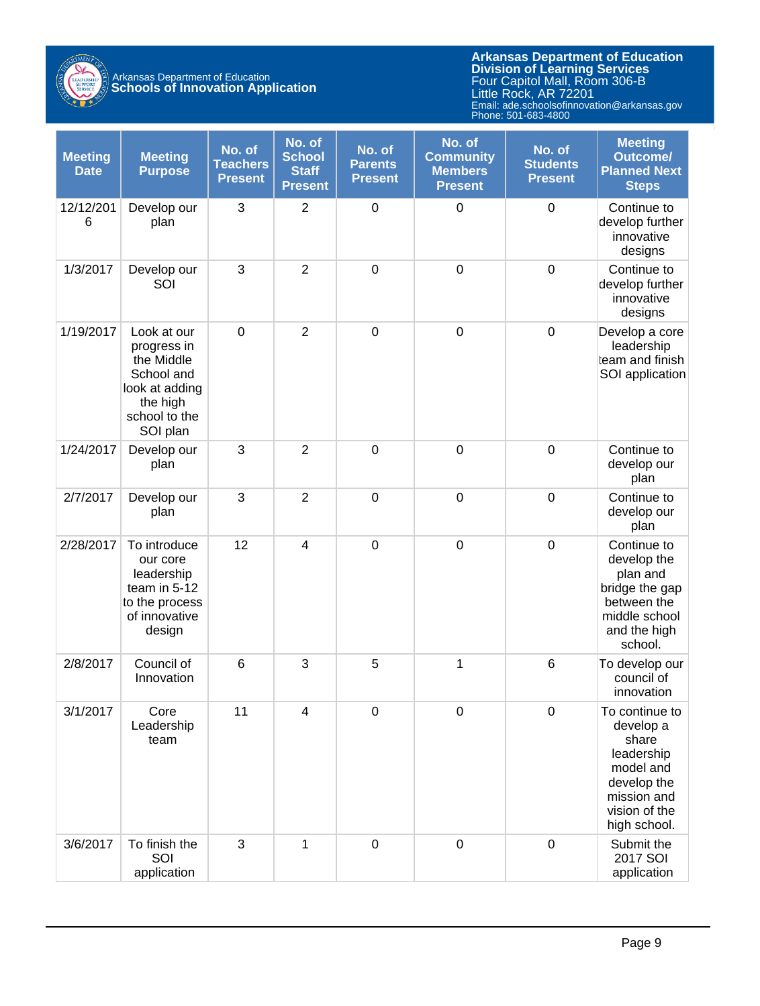

### Arkansas Department of Education **Schools of Innovation Application**

| <b>Meeting</b><br><b>Date</b> | <b>Meeting</b><br><b>Purpose</b>                                                                                  | No. of<br><b>Teachers</b><br><b>Present</b> | No. of<br><b>School</b><br><b>Staff</b><br><b>Present</b> | No. of<br><b>Parents</b><br><b>Present</b> | No. of<br><b>Community</b><br><b>Members</b><br><b>Present</b> | No. of<br><b>Students</b><br><b>Present</b> | <b>Meeting</b><br><b>Outcome/</b><br><b>Planned Next</b><br><b>Steps</b>                                                       |
|-------------------------------|-------------------------------------------------------------------------------------------------------------------|---------------------------------------------|-----------------------------------------------------------|--------------------------------------------|----------------------------------------------------------------|---------------------------------------------|--------------------------------------------------------------------------------------------------------------------------------|
| 12/12/201<br>6                | Develop our<br>plan                                                                                               | 3                                           | $\overline{2}$                                            | $\mathsf 0$                                | $\mathbf 0$                                                    | $\boldsymbol{0}$                            | Continue to<br>develop further<br>innovative<br>designs                                                                        |
| 1/3/2017                      | Develop our<br>SOI                                                                                                | 3                                           | $\overline{2}$                                            | $\mathbf 0$                                | $\mathbf 0$                                                    | $\mathbf 0$                                 | Continue to<br>develop further<br>innovative<br>designs                                                                        |
| 1/19/2017                     | Look at our<br>progress in<br>the Middle<br>School and<br>look at adding<br>the high<br>school to the<br>SOI plan | $\mathbf 0$                                 | $\overline{2}$                                            | $\mathbf 0$                                | $\mathbf 0$                                                    | $\mathbf 0$                                 | Develop a core<br>leadership<br>team and finish<br>SOI application                                                             |
| 1/24/2017                     | Develop our<br>plan                                                                                               | 3                                           | $\overline{2}$                                            | $\mathbf 0$                                | $\mathbf 0$                                                    | $\mathbf 0$                                 | Continue to<br>develop our<br>plan                                                                                             |
| 2/7/2017                      | Develop our<br>plan                                                                                               | 3                                           | $\overline{2}$                                            | $\boldsymbol{0}$                           | $\mathbf 0$                                                    | $\mathbf 0$                                 | Continue to<br>develop our<br>plan                                                                                             |
| 2/28/2017                     | To introduce<br>our core<br>leadership<br>team in 5-12<br>to the process<br>of innovative<br>design               | 12                                          | $\overline{\mathbf{4}}$                                   | $\mathbf 0$                                | $\mathbf 0$                                                    | $\mathbf 0$                                 | Continue to<br>develop the<br>plan and<br>bridge the gap<br>between the<br>middle school<br>and the high<br>school.            |
| 2/8/2017                      | Council of<br>Innovation                                                                                          | 6                                           | 3                                                         | 5                                          | 1                                                              | $6\phantom{1}6$                             | To develop our<br>council of<br>innovation                                                                                     |
| 3/1/2017                      | Core<br>Leadership<br>team                                                                                        | 11                                          | $\overline{\mathbf{4}}$                                   | 0                                          | $\mathbf 0$                                                    | $\boldsymbol{0}$                            | To continue to<br>develop a<br>share<br>leadership<br>model and<br>develop the<br>mission and<br>vision of the<br>high school. |
| 3/6/2017                      | To finish the<br>SOI<br>application                                                                               | 3                                           | 1                                                         | $\mathbf 0$                                | $\mathbf 0$                                                    | $\boldsymbol{0}$                            | Submit the<br>2017 SOI<br>application                                                                                          |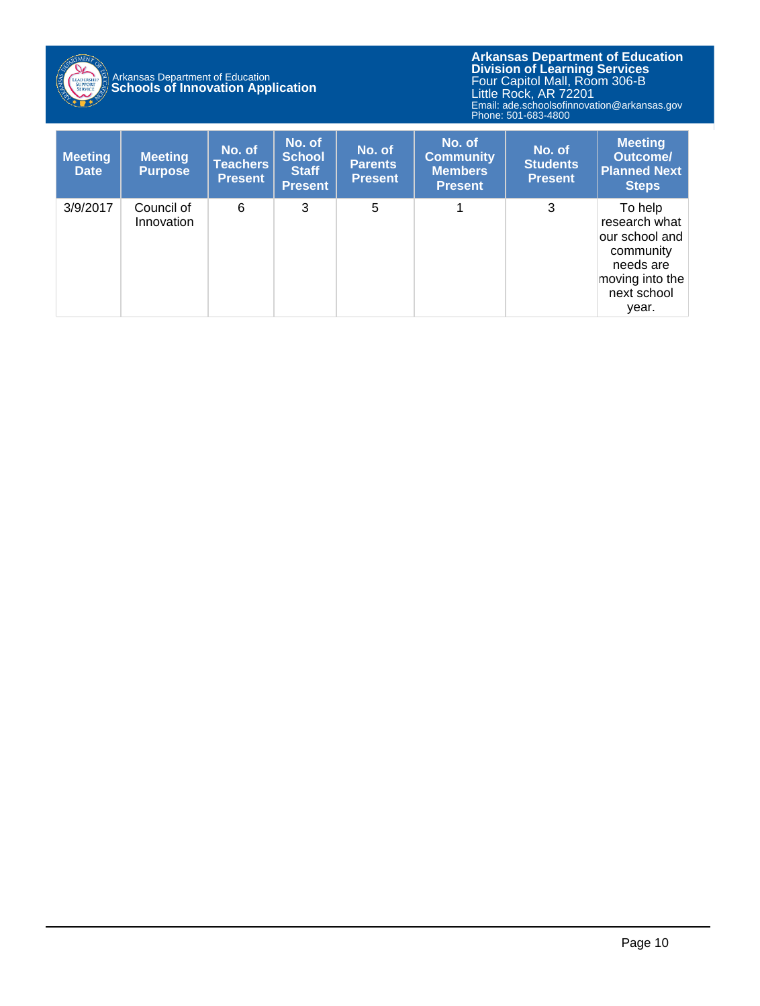

## Arkansas Department of Education **Schools of Innovation Application**

| <b>Meeting</b><br><b>Date</b> | <b>Meeting</b><br><b>Purpose</b> | No. of<br><b>Teachers</b><br><b>Present</b> | No. of<br>School<br><b>Staff</b><br><b>Present</b> | No. of<br><b>Parents</b><br><b>Present</b> | No. of<br><b>Community</b><br><b>Members</b><br><b>Present</b> | No. of<br><b>Students</b><br><b>Present</b> | <b>Meeting</b><br><b>Outcome/</b><br><b>Planned Next</b><br><b>Steps</b>                                        |
|-------------------------------|----------------------------------|---------------------------------------------|----------------------------------------------------|--------------------------------------------|----------------------------------------------------------------|---------------------------------------------|-----------------------------------------------------------------------------------------------------------------|
| 3/9/2017                      | Council of<br>Innovation         | 6                                           | 3                                                  | 5                                          |                                                                | 3                                           | To help<br>research what<br>our school and<br>community<br>needs are<br>moving into the<br>next school<br>year. |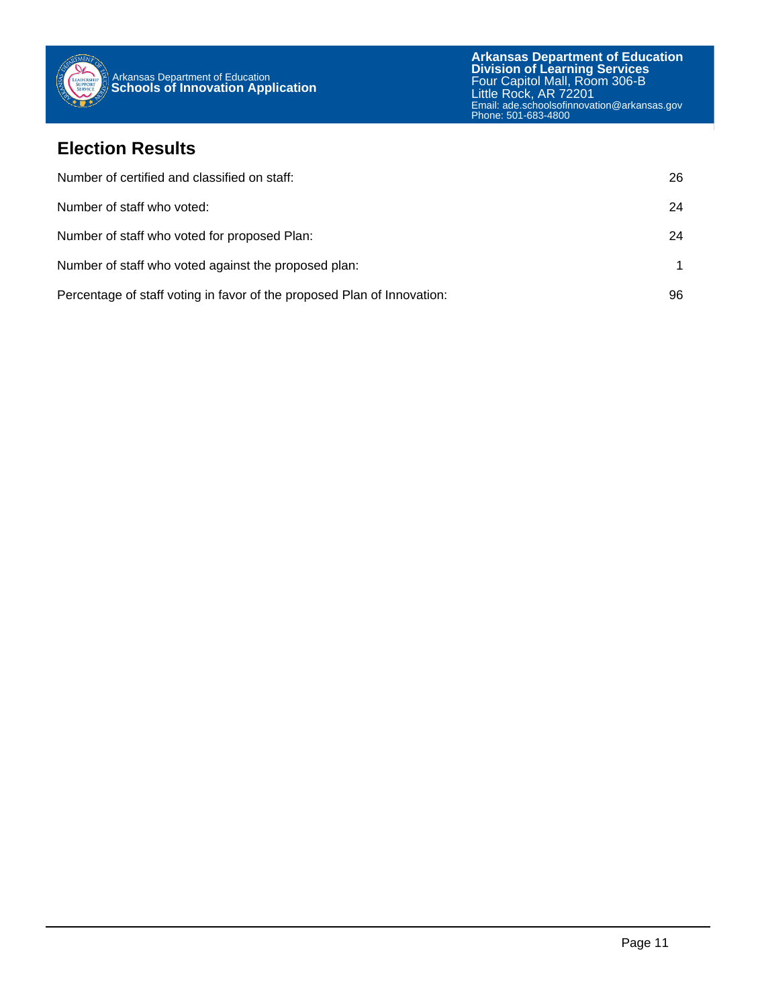

#### **Election Results**

| Number of certified and classified on staff:                            | 26 |
|-------------------------------------------------------------------------|----|
| Number of staff who voted:                                              | 24 |
| Number of staff who voted for proposed Plan:                            | 24 |
| Number of staff who voted against the proposed plan:                    |    |
| Percentage of staff voting in favor of the proposed Plan of Innovation: | 96 |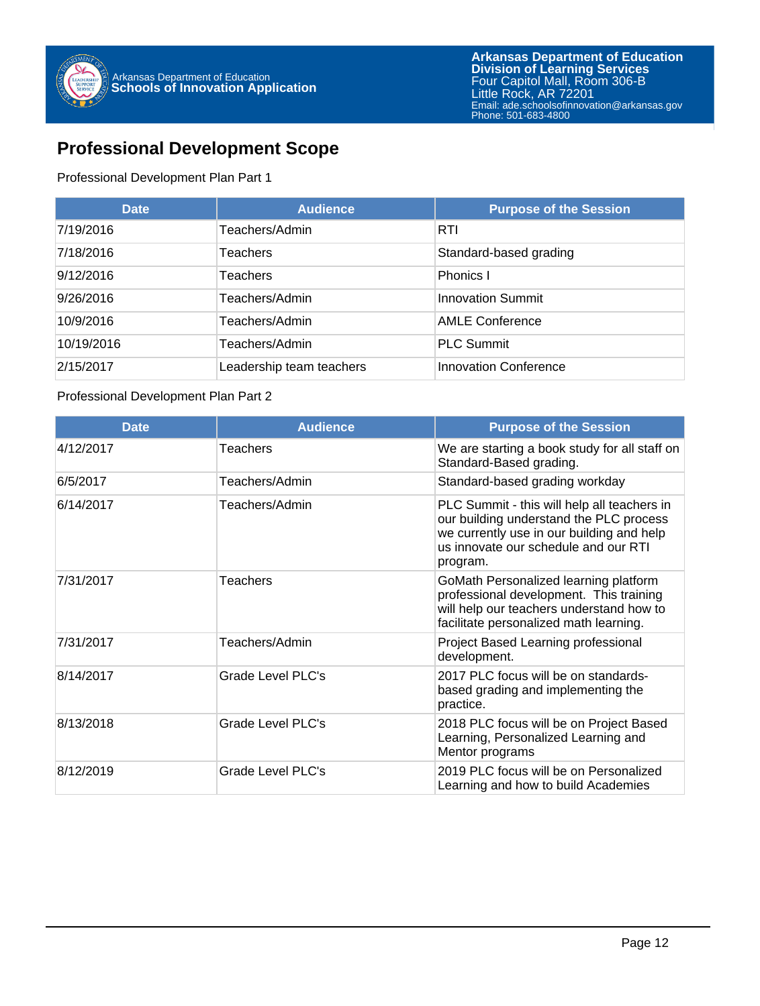

#### **Professional Development Scope**

#### Professional Development Plan Part 1

| <b>Date</b> | <b>Audience</b>          | <b>Purpose of the Session</b> |
|-------------|--------------------------|-------------------------------|
| 7/19/2016   | Teachers/Admin           | <b>RTI</b>                    |
| 7/18/2016   | <b>Teachers</b>          | Standard-based grading        |
| 9/12/2016   | Teachers                 | Phonics I                     |
| 9/26/2016   | Teachers/Admin           | <b>Innovation Summit</b>      |
| 10/9/2016   | Teachers/Admin           | <b>AMLE Conference</b>        |
| 10/19/2016  | Teachers/Admin           | <b>PLC Summit</b>             |
| 2/15/2017   | Leadership team teachers | <b>Innovation Conference</b>  |

#### Professional Development Plan Part 2

| <b>Date</b> | <b>Audience</b>   | <b>Purpose of the Session</b>                                                                                                                                                           |
|-------------|-------------------|-----------------------------------------------------------------------------------------------------------------------------------------------------------------------------------------|
| 4/12/2017   | Teachers          | We are starting a book study for all staff on<br>Standard-Based grading.                                                                                                                |
| 6/5/2017    | Teachers/Admin    | Standard-based grading workday                                                                                                                                                          |
| 6/14/2017   | Teachers/Admin    | PLC Summit - this will help all teachers in<br>our building understand the PLC process<br>we currently use in our building and help<br>us innovate our schedule and our RTI<br>program. |
| 7/31/2017   | <b>Teachers</b>   | GoMath Personalized learning platform<br>professional development. This training<br>will help our teachers understand how to<br>facilitate personalized math learning.                  |
| 7/31/2017   | Teachers/Admin    | Project Based Learning professional<br>development.                                                                                                                                     |
| 8/14/2017   | Grade Level PLC's | 2017 PLC focus will be on standards-<br>based grading and implementing the<br>practice.                                                                                                 |
| 8/13/2018   | Grade Level PLC's | 2018 PLC focus will be on Project Based<br>Learning, Personalized Learning and<br>Mentor programs                                                                                       |
| 8/12/2019   | Grade Level PLC's | 2019 PLC focus will be on Personalized<br>Learning and how to build Academies                                                                                                           |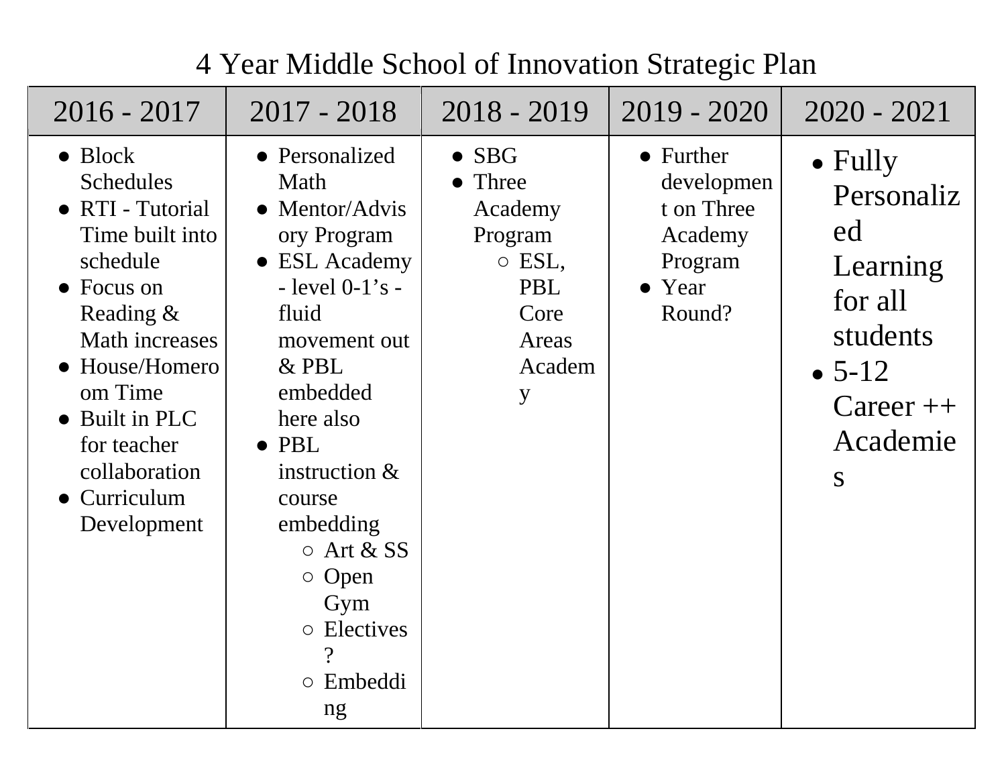| $2016 - 2017$                                                                                                                                                                                                                                             | $2017 - 2018$                                                                                                                                                                                                                                                                                                   | $2018 - 2019$                                                                                                | $2019 - 2020$                                                                   | $2020 - 2021$                                                                                                           |
|-----------------------------------------------------------------------------------------------------------------------------------------------------------------------------------------------------------------------------------------------------------|-----------------------------------------------------------------------------------------------------------------------------------------------------------------------------------------------------------------------------------------------------------------------------------------------------------------|--------------------------------------------------------------------------------------------------------------|---------------------------------------------------------------------------------|-------------------------------------------------------------------------------------------------------------------------|
| $\bullet$ Block<br><b>Schedules</b><br>• RTI - Tutorial<br>Time built into<br>schedule<br>$\bullet$ Focus on<br>Reading &<br>Math increases<br>• House/Homero<br>om Time<br>• Built in PLC<br>for teacher<br>collaboration<br>• Curriculum<br>Development | • Personalized<br>Math<br>• Mentor/Advis<br>ory Program<br>• ESL Academy<br>- level $0-1$ 's -<br>fluid<br>movement out<br>$&$ PBL<br>embedded<br>here also<br>$\bullet$ PBL<br>instruction $&$<br>course<br>embedding<br>$\circ$ Art & SS<br>$\circ$ Open<br>Gym<br>o Electives<br>$\gamma$<br>o Embeddi<br>ng | $\bullet$ SBG<br>• Three<br>Academy<br>Program<br>$\circ$ ESL,<br><b>PBL</b><br>Core<br>Areas<br>Academ<br>y | • Further<br>developmen<br>t on Three<br>Academy<br>Program<br>• Year<br>Round? | $\bullet$ Fully<br>Personaliz<br>ed<br>Learning<br>for all<br>students<br>$\bullet$ 5-12<br>$Career++$<br>Academie<br>S |

# 4 Year Middle School of Innovation Strategic Plan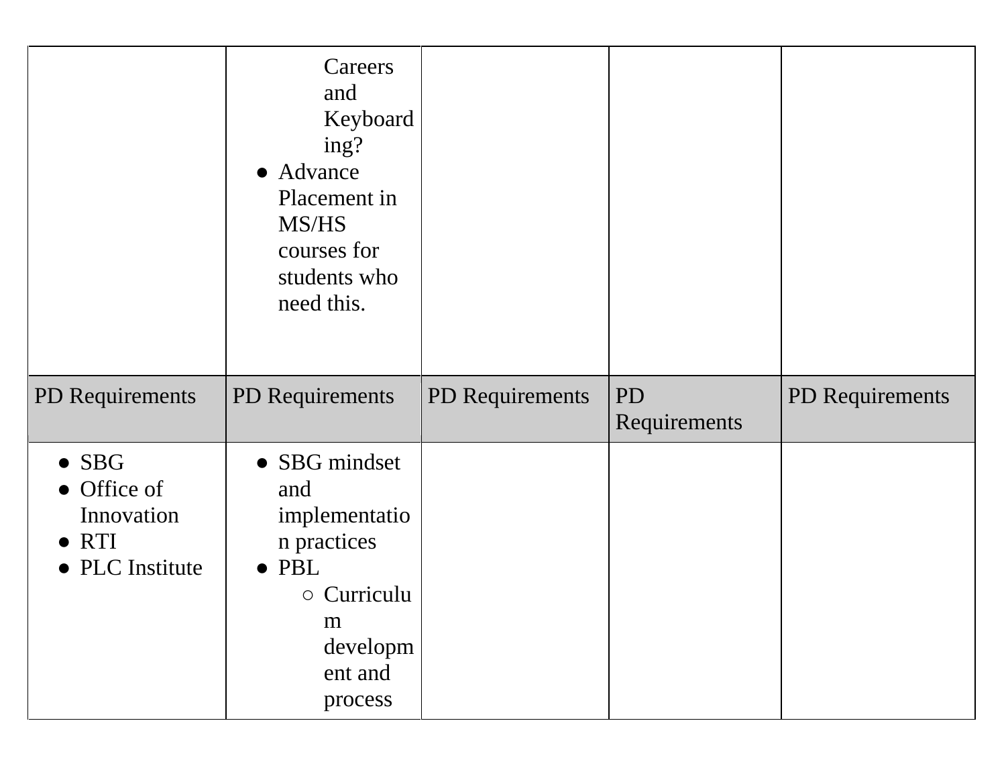|                                                                                | Careers<br>and<br>Keyboard<br>ing?<br>• Advance<br>Placement in<br>MS/HS<br>courses for<br>students who<br>need this.             |                 |                           |                 |
|--------------------------------------------------------------------------------|-----------------------------------------------------------------------------------------------------------------------------------|-----------------|---------------------------|-----------------|
| PD Requirements                                                                | PD Requirements                                                                                                                   | PD Requirements | <b>PD</b><br>Requirements | PD Requirements |
| $\bullet$ SBG<br>• Office of<br>Innovation<br>$\bullet$ RTI<br>• PLC Institute | • SBG mindset<br>and<br>implementatio<br>n practices<br>$\bullet$ PBL<br>$\circ$ Curriculu<br>m<br>developm<br>ent and<br>process |                 |                           |                 |